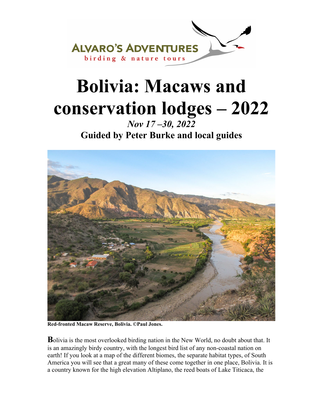

# **Bolivia: Macaws and conservation lodges – 2022**

*Nov 17 –30, 2022*  **Guided by Peter Burke and local guides** 



**Red-fronted Macaw Reserve, Bolivia. ©Paul Jones.** 

**B**olivia is the most overlooked birding nation in the New World, no doubt about that. It is an amazingly birdy country, with the longest bird list of any non-coastal nation on earth! If you look at a map of the different biomes, the separate habitat types, of South America you will see that a great many of these come together in one place, Bolivia. It is a country known for the high elevation Altiplano, the reed boats of Lake Titicaca, the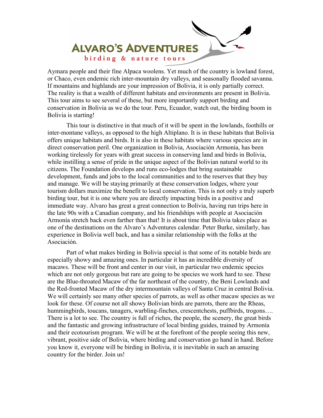

Aymara people and their fine Alpaca woolens. Yet much of the country is lowland forest, or Chaco, even endemic rich inter-mountain dry valleys, and seasonally flooded savanna. If mountains and highlands are your impression of Bolivia, it is only partially correct. The reality is that a wealth of different habitats and environments are present in Bolivia. This tour aims to see several of these, but more importantly support birding and conservation in Bolivia as we do the tour. Peru, Ecuador, watch out, the birding boom in Bolivia is starting!

 This tour is distinctive in that much of it will be spent in the lowlands, foothills or inter-montane valleys, as opposed to the high Altiplano. It is in these habitats that Bolivia offers unique habitats and birds. It is also in these habitats where various species are in direct conservation peril. One organization in Bolivia, Asociación Armonía, has been working tirelessly for years with great success in conserving land and birds in Bolivia, while instilling a sense of pride in the unique aspect of the Bolivian natural world to its citizens. The Foundation develops and runs eco-lodges that bring sustainable development, funds and jobs to the local communities and to the reserves that they buy and manage. We will be staying primarily at these conservation lodges, where your tourism dollars maximize the benefit to local conservation. This is not only a truly superb birding tour, but it is one where you are directly impacting birds in a positive and immediate way. Alvaro has great a great connection to Bolivia, having run trips here in the late 90s with a Canadian company, and his friendships with people at Asociación Armonía stretch back even farther than that! It is about time that Bolivia takes place as one of the destinations on the Alvaro's Adventures calendar. Peter Burke, similarly, has experience in Bolivia well back, and has a similar relationship with the folks at the Asociación.

 Part of what makes birding in Bolivia special is that some of its notable birds are especially showy and amazing ones. In particular it has an incredible diversity of macaws. These will be front and center in our visit, in particular two endemic species which are not only gorgeous but rare are going to be species we work hard to see. These are the Blue-throated Macaw of the far northeast of the country, the Beni Lowlands and the Red-fronted Macaw of the dry intermountain valleys of Santa Cruz in central Bolivia. We will certainly see many other species of parrots, as well as other macaw species as we look for these. Of course not all showy Bolivian birds are parrots, there are the Rheas, hummingbirds, toucans, tanagers, warbling-finches, crescentchests, puffbirds, trogons…. There is a lot to see. The country is full of riches, the people, the scenery, the great birds and the fantastic and growing infrastructure of local birding guides, trained by Armonía and their ecotourism program. We will be at the forefront of the people seeing this new, vibrant, positive side of Bolivia, where birding and conservation go hand in hand. Before you know it, everyone will be birding in Bolivia, it is inevitable in such an amazing country for the birder. Join us!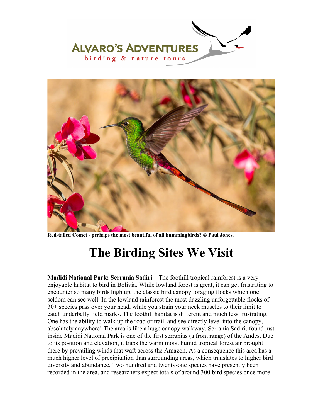



**Red-tailed Comet - perhaps the most beautiful of all hummingbirds? © Paul Jones.** 

# **The Birding Sites We Visit**

**Madidi National Park: Serrania Sadiri –** The foothill tropical rainforest is a very enjoyable habitat to bird in Bolivia. While lowland forest is great, it can get frustrating to encounter so many birds high up, the classic bird canopy foraging flocks which one seldom can see well. In the lowland rainforest the most dazzling unforgettable flocks of 30+ species pass over your head, while you strain your neck muscles to their limit to catch underbelly field marks. The foothill habitat is different and much less frustrating. One has the ability to walk up the road or trail, and see directly level into the canopy, absolutely anywhere! The area is like a huge canopy walkway. Serranía Sadiri, found just inside Madidi National Park is one of the first serranias (a front range) of the Andes. Due to its position and elevation, it traps the warm moist humid tropical forest air brought there by prevailing winds that waft across the Amazon. As a consequence this area has a much higher level of precipitation than surrounding areas, which translates to higher bird diversity and abundance. Two hundred and twenty-one species have presently been recorded in the area, and researchers expect totals of around 300 bird species once more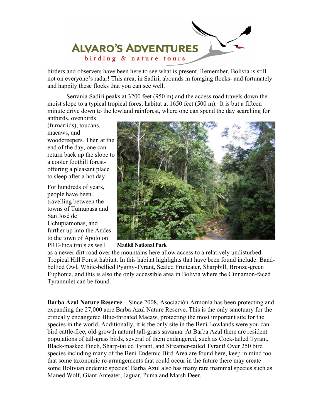

birders and observers have been here to see what is present. Remember, Bolivia is still not on everyone's radar! This area, in Sadiri, abounds in foraging flocks- and fortunately and happily these flocks that you can see well.

Serranía Sadiri peaks at 3200 feet (950 m) and the access road travels down the moist slope to a typical tropical forest habitat at 1650 feet (500 m). It is but a fifteen minute drive down to the lowland rainforest, where one can spend the day searching for

antbirds, ovenbirds (furnariids), toucans, macaws, and woodcreepers. Then at the end of the day, one can return back up the slope to a cooler foothill forestoffering a pleasant place to sleep after a hot day.

For hundreds of years, people have been travelling between the towns of Tumupasa and San José de Uchupiamonas, and further up into the Andes to the town of Apolo on PRE-Inca trails as well



**Madidi National Park**

as a newer dirt road over the mountains here allow access to a relatively undisturbed Tropical Hill Forest habitat. In this habitat highlights that have been found include: Bandbellied Owl, White-bellied Pygmy-Tyrant, Scaled Fruiteater, Sharpbill, Bronze-green Euphonia, and this is also the only accessible area in Bolivia where the Cinnamon-faced Tyrannulet can be found.

**Barba Azul Nature Reserve –** Since 2008, Asociación Armonía has been protecting and expanding the 27,000 acre Barba Azul Nature Reserve. This is the only sanctuary for the critically endangered Blue-throated Macaw, protecting the most important site for the species in the world. Additionally, it is the only site in the Beni Lowlands were you can bird cattle-free, old-growth natural tall-grass savanna. At Barba Azul there are resident populations of tall-grass birds, several of them endangered, such as Cock-tailed Tyrant, Black-masked Finch, Sharp-tailed Tyrant, and Streamer-tailed Tyrant! Over 250 bird species including many of the Beni Endemic Bird Area are found here, keep in mind too that some taxonomic re-arrangements that could occur in the future there may create some Bolivian endemic species! Barba Azul also has many rare mammal species such as Maned Wolf, Giant Anteater, Jaguar, Puma and Marsh Deer.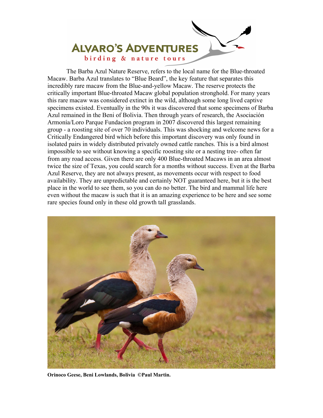

The Barba Azul Nature Reserve, refers to the local name for the Blue-throated Macaw. Barba Azul translates to "Blue Beard", the key feature that separates this incredibly rare macaw from the Blue-and-yellow Macaw. The reserve protects the critically important Blue-throated Macaw global population stronghold. For many years this rare macaw was considered extinct in the wild, although some long lived captive specimens existed. Eventually in the 90s it was discovered that some specimens of Barba Azul remained in the Beni of Bolivia. Then through years of research, the Asociación Armonía/Loro Parque Fundacion program in 2007 discovered this largest remaining group - a roosting site of over 70 individuals. This was shocking and welcome news for a Critically Endangered bird which before this important discovery was only found in isolated pairs in widely distributed privately owned cattle ranches. This is a bird almost impossible to see without knowing a specific roosting site or a nesting tree- often far from any road access. Given there are only 400 Blue-throated Macaws in an area almost twice the size of Texas, you could search for a months without success. Even at the Barba Azul Reserve, they are not always present, as movements occur with respect to food availability. They are unpredictable and certainly NOT guaranteed here, but it is the best place in the world to see them, so you can do no better. The bird and mammal life here even without the macaw is such that it is an amazing experience to be here and see some rare species found only in these old growth tall grasslands.



**Orinoco Geese, Beni Lowlands, Bolivia ©Paul Martin.**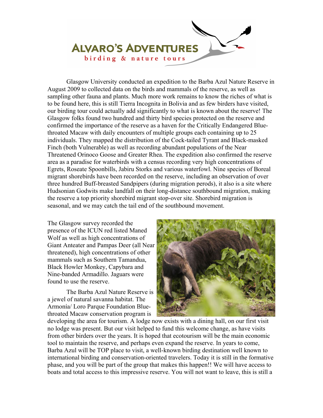

Glasgow University conducted an expedition to the Barba Azul Nature Reserve in August 2009 to collected data on the birds and mammals of the reserve, as well as sampling other fauna and plants. Much more work remains to know the riches of what is to be found here, this is still Tierra Incognita in Bolivia and as few birders have visited, our birding tour could actually add significantly to what is known about the reserve! The Glasgow folks found two hundred and thirty bird species protected on the reserve and confirmed the importance of the reserve as a haven for the Critically Endangered Bluethroated Macaw with daily encounters of multiple groups each containing up to 25 individuals. They mapped the distribution of the Cock-tailed Tyrant and Black-masked Finch (both Vulnerable) as well as recording abundant populations of the Near Threatened Orinoco Goose and Greater Rhea. The expedition also confirmed the reserve area as a paradise for waterbirds with a census recording very high concentrations of Egrets, Roseate Spoonbills, Jabiru Storks and various waterfowl. Nine species of Boreal migrant shorebirds have been recorded on the reserve, including an observation of over three hundred Buff-breasted Sandpipers (during migration perods), it also is a site where Hudsonian Godwits make landfall on their long-distance southbound migration, making the reserve a top priority shorebird migrant stop-over site. Shorebird migration is seasonal, and we may catch the tail end of the southbound movement.

The Glasgow survey recorded the presence of the ICUN red listed Maned Wolf as well as high concentrations of Giant Anteater and Pampas Deer (all Near threatened), high concentrations of other mammals such as Southern Tamandua, Black Howler Monkey, Capybara and Nine-banded Armadillo. Jaguars were found to use the reserve.

The Barba Azul Nature Reserve is a jewel of natural savanna habitat. The Armonía/ Loro Parque Foundation Bluethroated Macaw conservation program is



developing the area for tourism. A lodge now exists with a dining hall, on our first visit no lodge was present. But our visit helped to fund this welcome change, as have visits from other birders over the years. It is hoped that ecotourism will be the main economic tool to maintain the reserve, and perhaps even expand the reserve. In years to come, Barba Azul will be TOP place to visit, a well-known birding destination well known to international birding and conservation-oriented travelers. Today it is still in the formative phase, and you will be part of the group that makes this happen!! We will have access to boats and total access to this impressive reserve. You will not want to leave, this is still a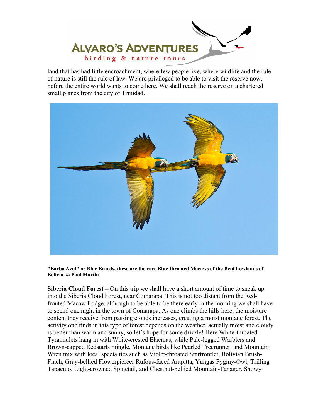

land that has had little encroachment, where few people live, where wildlife and the rule of nature is still the rule of law. We are privileged to be able to visit the reserve now, before the entire world wants to come here. We shall reach the reserve on a chartered small planes from the city of Trinidad.



**"Barba Azul" or Blue Beards, these are the rare Blue-throated Macaws of the Beni Lowlands of Bolivia. © Paul Martin.** 

**Siberia Cloud Forest –** On this trip we shall have a short amount of time to sneak up into the Siberia Cloud Forest, near Comarapa. This is not too distant from the Redfronted Macaw Lodge, although to be able to be there early in the morning we shall have to spend one night in the town of Comarapa. As one climbs the hills here, the moisture content they receive from passing clouds increases, creating a moist montane forest. The activity one finds in this type of forest depends on the weather, actually moist and cloudy is better than warm and sunny, so let's hope for some drizzle! Here White-throated Tyrannulets hang in with White-crested Elaenias, while Pale-legged Warblers and Brown-capped Redstarts mingle. Montane birds like Pearled Treerunner, and Mountain Wren mix with local specialties such as Violet-throated Starfrontlet, Bolivian Brush-Finch, Gray-bellied Flowerpiercer Rufous-faced Antpitta, Yungas Pygmy-Owl, Trilling Tapaculo, Light-crowned Spinetail, and Chestnut-bellied Mountain-Tanager. Showy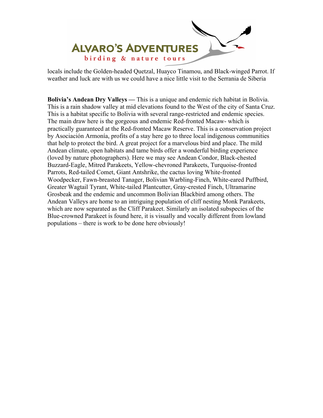

locals include the Golden-headed Quetzal, Huayco Tinamou, and Black-winged Parrot. If weather and luck are with us we could have a nice little visit to the Serrania de Siberia

**Bolivia's Andean Dry Valleys —** This is a unique and endemic rich habitat in Bolivia. This is a rain shadow valley at mid elevations found to the West of the city of Santa Cruz. This is a habitat specific to Bolivia with several range-restricted and endemic species. The main draw here is the gorgeous and endemic Red-fronted Macaw- which is practically guaranteed at the Red-fronted Macaw Reserve. This is a conservation project by Asociación Armonía, profits of a stay here go to three local indigenous communities that help to protect the bird. A great project for a marvelous bird and place. The mild Andean climate, open habitats and tame birds offer a wonderful birding experience (loved by nature photographers). Here we may see Andean Condor, Black-chested Buzzard-Eagle, Mitred Parakeets, Yellow-chevroned Parakeets, Turquoise-fronted Parrots, Red-tailed Comet, Giant Antshrike, the cactus loving White-fronted Woodpecker, Fawn-breasted Tanager, Bolivian Warbling-Finch, White-eared Puffbird, Greater Wagtail Tyrant, White-tailed Plantcutter, Gray-crested Finch, Ultramarine Grosbeak and the endemic and uncommon Bolivian Blackbird among others. The Andean Valleys are home to an intriguing population of cliff nesting Monk Parakeets, which are now separated as the Cliff Parakeet. Similarly an isolated subspecies of the Blue-crowned Parakeet is found here, it is visually and vocally different from lowland populations – there is work to be done here obviously!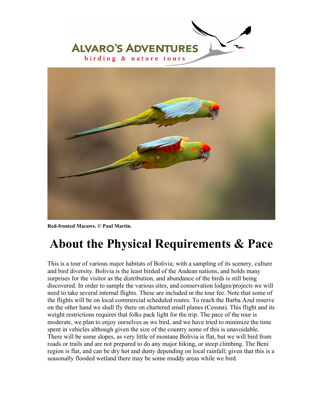



**Red-fronted Macaws. © Paul Martin.** 

# **About the Physical Requirements & Pace**

This is a tour of various major habitats of Bolivia; with a sampling of its scenery, culture and bird diversity. Bolivia is the least birded of the Andean nations, and holds many surprises for the visitor as the distribution, and abundance of the birds is still being discovered. In order to sample the various sites, and conservation lodges/projects we will need to take several internal flights. These are included in the tour fee. Note that some of the flights will be on local commercial scheduled routes. To reach the Barba Azul reserve on the other hand we shall fly there on chartered small planes (Cessna). This flight and its weight restrictions requires that folks pack light for the trip. The pace of the tour is moderate, we plan to enjoy ourselves as we bird, and we have tried to minimize the time spent in vehicles although given the size of the country some of this is unavoidable. There will be some slopes, as very little of montane Bolivia is flat, but we will bird from roads or trails and are not prepared to do any major hiking, or steep climbing. The Beni region is flat, and can be dry hot and dusty depending on local rainfall; given that this is a seasonally flooded wetland there may be some muddy areas while we bird.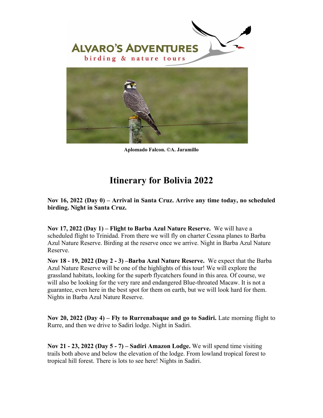

**Aplomado Falcon. ©A. Jaramillo** 

#### **Itinerary for Bolivia 2022**

**Nov 16, 2022 (Day 0) – Arrival in Santa Cruz. Arrive any time today, no scheduled birding. Night in Santa Cruz.** 

**Nov 17, 2022 (Day 1) – Flight to Barba Azul Nature Reserve.** We will have a scheduled flight to Trinidad. From there we will fly on charter Cessna planes to Barba Azul Nature Reserve. Birding at the reserve once we arrive. Night in Barba Azul Nature Reserve.

**Nov 18 - 19, 2022 (Day 2 - 3) –Barba Azul Nature Reserve.** We expect that the Barba Azul Nature Reserve will be one of the highlights of this tour! We will explore the grassland habitats, looking for the superb flycatchers found in this area. Of course, we will also be looking for the very rare and endangered Blue-throated Macaw. It is not a guarantee, even here in the best spot for them on earth, but we will look hard for them. Nights in Barba Azul Nature Reserve.

**Nov 20, 2022 (Day 4) – Fly to Rurrenabaque and go to Sadiri.** Late morning flight to Rurre, and then we drive to Sadiri lodge. Night in Sadiri.

**Nov 21 - 23, 2022 (Day 5 - 7) – Sadiri Amazon Lodge.** We will spend time visiting trails both above and below the elevation of the lodge. From lowland tropical forest to tropical hill forest. There is lots to see here! Nights in Sadiri.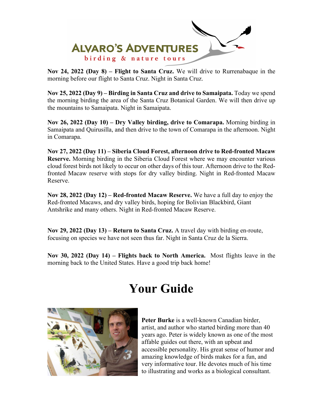

**Nov 24, 2022 (Day 8) – Flight to Santa Cruz.** We will drive to Rurrenabaque in the morning before our flight to Santa Cruz. Night in Santa Cruz.

**Nov 25, 2022 (Day 9) – Birding in Santa Cruz and drive to Samaipata.** Today we spend the morning birding the area of the Santa Cruz Botanical Garden. We will then drive up the mountains to Samaipata. Night in Samaipata.

**Nov 26, 2022 (Day 10) – Dry Valley birding, drive to Comarapa.** Morning birding in Samaipata and Quirusilla, and then drive to the town of Comarapa in the afternoon. Night in Comarapa.

**Nov 27, 2022 (Day 11) – Siberia Cloud Forest, afternoon drive to Red-fronted Macaw Reserve.** Morning birding in the Siberia Cloud Forest where we may encounter various cloud forest birds not likely to occur on other days of this tour. Afternoon drive to the Redfronted Macaw reserve with stops for dry valley birding. Night in Red-fronted Macaw Reserve.

**Nov 28, 2022 (Day 12) – Red-fronted Macaw Reserve.** We have a full day to enjoy the Red-fronted Macaws, and dry valley birds, hoping for Bolivian Blackbird, Giant Antshrike and many others. Night in Red-fronted Macaw Reserve.

**Nov 29, 2022 (Day 13) – Return to Santa Cruz.** A travel day with birding en-route, focusing on species we have not seen thus far. Night in Santa Cruz de la Sierra.

**Nov 30, 2022 (Day 14) – Flights back to North America.** Most flights leave in the morning back to the United States. Have a good trip back home!

# **Your Guide**



**Peter Burke** is a well-known Canadian birder, artist, and author who started birding more than 40 years ago. Peter is widely known as one of the most affable guides out there, with an upbeat and accessible personality. His great sense of humor and amazing knowledge of birds makes for a fun, and very informative tour. He devotes much of his time to illustrating and works as a biological consultant.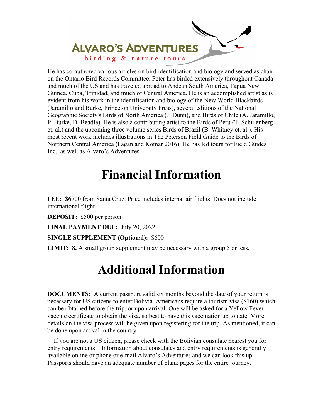

He has co-authored various articles on bird identification and biology and served as chair on the Ontario Bird Records Committee. Peter has birded extensively throughout Canada and much of the US and has traveled abroad to Andean South America, Papua New Guinea, Cuba, Trinidad, and much of Central America. He is an accomplished artist as is evident from his work in the identification and biology of the New World Blackbirds (Jaramillo and Burke, Princeton University Press), several editions of the National Geographic Society's Birds of North America (J. Dunn), and Birds of Chile (A. Jaramillo, P. Burke, D. Beadle). He is also a contributing artist to the Birds of Peru (T. Schulenberg et. al.) and the upcoming three volume series Birds of Brazil (B. Whitney et. al.). His most recent work includes illustrations in The Peterson Field Guide to the Birds of Northern Central America (Fagan and Komar 2016). He has led tours for Field Guides Inc., as well as Alvaro's Adventures.

### **Financial Information**

**FEE:** \$6700 from Santa Cruz. Price includes internal air flights. Does not include international flight.

**DEPOSIT:** \$500 per person

**FINAL PAYMENT DUE:** July 20, 2022

**SINGLE SUPPLEMENT (Optional):** \$600

**LIMIT: 8.** A small group supplement may be necessary with a group 5 or less.

## **Additional Information**

**DOCUMENTS:** A current passport valid six months beyond the date of your return is necessary for US citizens to enter Bolivia. Americans require a tourism visa (\$160) which can be obtained before the trip, or upon arrival. One will be asked for a Yellow Fever vaccine certificate to obtain the visa, so best to have this vaccination up to date. More details on the visa process will be given upon registering for the trip. As mentioned, it can be done upon arrival in the country.

 If you are not a US citizen, please check with the Bolivian consulate nearest you for entry requirements. Information about consulates and entry requirements is generally available online or phone or e-mail Alvaro's Adventures and we can look this up. Passports should have an adequate number of blank pages for the entire journey.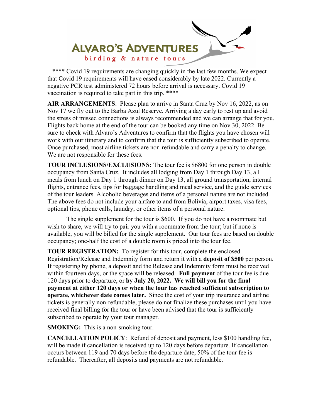

\*\*\*\* Covid 19 requirements are changing quickly in the last few months. We expect that Covid 19 requirements will have eased considerably by late 2022. Currently a negative PCR test administered 72 hours before arrival is necessary. Covid 19 vaccination is required to take part in this trip. \*\*\*\*

**AIR ARRANGEMENTS**: Please plan to arrive in Santa Cruz by Nov 16, 2022, as on Nov 17 we fly out to the Barba Azul Reserve. Arriving a day early to rest up and avoid the stress of missed connections is always recommended and we can arrange that for you. Flights back home at the end of the tour can be booked any time on Nov 30, 2022. Be sure to check with Alvaro's Adventures to confirm that the flights you have chosen will work with our itinerary and to confirm that the tour is sufficiently subscribed to operate. Once purchased, most airline tickets are non-refundable and carry a penalty to change. We are not responsible for these fees.

**TOUR INCLUSIONS/EXCLUSIONS:** The tour fee is \$6800 for one person in double occupancy from Santa Cruz. It includes all lodging from Day 1 through Day 13, all meals from lunch on Day 1 through dinner on Day 13, all ground transportation, internal flights, entrance fees, tips for baggage handling and meal service, and the guide services of the tour leaders. Alcoholic beverages and items of a personal nature are not included. The above fees do not include your airfare to and from Bolivia, airport taxes, visa fees, optional tips, phone calls, laundry, or other items of a personal nature.

 The single supplement for the tour is \$600. If you do not have a roommate but wish to share, we will try to pair you with a roommate from the tour; but if none is available, you will be billed for the single supplement. Our tour fees are based on double occupancy; one-half the cost of a double room is priced into the tour fee.

**TOUR REGISTRATION:** To register for this tour, complete the enclosed Registration/Release and Indemnity form and return it with a **deposit of \$500** per person. If registering by phone, a deposit and the Release and Indemnity form must be received within fourteen days, or the space will be released. **Full payment** of the tour fee is due 120 days prior to departure, or **by July 20, 2022. We will bill you for the final payment at either 120 days or when the tour has reached sufficient subscription to operate, whichever date comes later.** Since the cost of your trip insurance and airline tickets is generally non-refundable, please do not finalize these purchases until you have received final billing for the tour or have been advised that the tour is sufficiently subscribed to operate by your tour manager.

**SMOKING:** This is a non-smoking tour.

**CANCELLATION POLICY**: Refund of deposit and payment, less \$100 handling fee, will be made if cancellation is received up to 120 days before departure. If cancellation occurs between 119 and 70 days before the departure date, 50% of the tour fee is refundable. Thereafter, all deposits and payments are not refundable.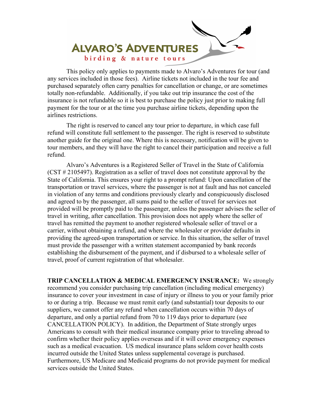

 This policy only applies to payments made to Alvaro's Adventures for tour (and any services included in those fees). Airline tickets not included in the tour fee and purchased separately often carry penalties for cancellation or change, or are sometimes totally non-refundable. Additionally, if you take out trip insurance the cost of the insurance is not refundable so it is best to purchase the policy just prior to making full payment for the tour or at the time you purchase airline tickets, depending upon the airlines restrictions.

 The right is reserved to cancel any tour prior to departure, in which case full refund will constitute full settlement to the passenger. The right is reserved to substitute another guide for the original one. Where this is necessary, notification will be given to tour members, and they will have the right to cancel their participation and receive a full refund.

Alvaro's Adventures is a Registered Seller of Travel in the State of California (CST # 2105497). Registration as a seller of travel does not constitute approval by the State of California. This ensures your right to a prompt refund: Upon cancellation of the transportation or travel services, where the passenger is not at fault and has not canceled in violation of any terms and conditions previously clearly and conspicuously disclosed and agreed to by the passenger, all sums paid to the seller of travel for services not provided will be promptly paid to the passenger, unless the passenger advises the seller of travel in writing, after cancellation. This provision does not apply where the seller of travel has remitted the payment to another registered wholesale seller of travel or a carrier, without obtaining a refund, and where the wholesaler or provider defaults in providing the agreed-upon transportation or service. In this situation, the seller of travel must provide the passenger with a written statement accompanied by bank records establishing the disbursement of the payment, and if disbursed to a wholesale seller of travel, proof of current registration of that wholesaler.

**TRIP CANCELLATION & MEDICAL EMERGENCY INSURANCE:** We strongly recommend you consider purchasing trip cancellation (including medical emergency) insurance to cover your investment in case of injury or illness to you or your family prior to or during a trip. Because we must remit early (and substantial) tour deposits to our suppliers, we cannot offer any refund when cancellation occurs within 70 days of departure, and only a partial refund from 70 to 119 days prior to departure (see CANCELLATION POLICY). In addition, the Department of State strongly urges Americans to consult with their medical insurance company prior to traveling abroad to confirm whether their policy applies overseas and if it will cover emergency expenses such as a medical evacuation. US medical insurance plans seldom cover health costs incurred outside the United States unless supplemental coverage is purchased. Furthermore, US Medicare and Medicaid programs do not provide payment for medical services outside the United States.